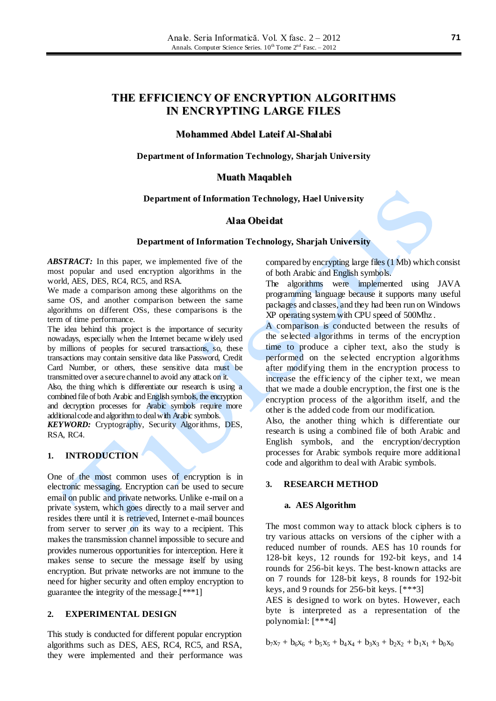# **THE EFFICIENCY OF ENCRYPTION ALGORITHMS IN ENCRYPTING LARGE FILES**

## **Mohammed Abdel Lateif Al-Shalabi**

**Department of Information Technology, Sharjah University**

#### **Muath Maqableh**

#### **Department of Information Technology, Hael University**

### **Alaa Obeidat**

#### **Department of Information Technology, Sharjah University**

*ABSTRACT:* In this paper, we implemented five of the most popular and used encryption algorithms in the world, AES, DES, RC4, RC5, and RSA.

We made a comparison among these algorithms on the same OS, and another comparison between the same algorithms on different OSs, these comparisons is the term of time performance.

The idea behind this project is the importance of security nowadays, especially when the Internet became widely used by millions of peoples for secured transactions, so, these transactions may contain sensitive data like Password, Credit Card Number, or others, these sensitive data must be transmitted over a secure channel to avoid any attack on it. Also, the thing which is differentiate our research is using a combined file of both Arabic and English symbols, the encryption

and decryption processes for Arabic symbols require more additional code and algorithm to deal with Arabic symbols. *KEYWORD:* Cryptography, Security Algorithms, DES,

RSA, RC4.

## **1. INTRODUCTION**

One of the most common uses of encryption is in electronic messaging. Encryption can be used to secure email on public and private networks. Unlike e-mail on a private system, which goes directly to a mail server and resides there until it is retrieved, Internet e-mail bounces from server to server on its way to a recipient. This makes the transmission channel impossible to secure and provides numerous opportunities for interception. Here it makes sense to secure the message itself by using encryption. But private networks are not immune to the need for higher security and often employ encryption to guarantee the integrity of the message.[\*\*\*1]

## **2. EXPERIMENTAL DESIGN**

This study is conducted for different popular encryption algorithms such as DES, AES, RC4, RC5, and RSA, they were implemented and their performance was compared by encrypting large files (1 Mb) which consist of both Arabic and English symbols.

The algorithms were implemented using JAVA programming language because it supports many useful packages and classes, and they had been run on Windows XP operating system with CPU speed of 500Mhz .

A comparison is conducted between the results of the selected algorithms in terms of the encryption time to produce a cipher text, also the study is performed on the selected encryption algorithms after modifying them in the encryption process to increase the efficiency of the cipher text, we mean that we made a double encryption, the first one is the encryption process of the algorithm itself, and the other is the added code from our modification.

Also, the another thing which is differentiate our research is using a combined file of both Arabic and English symbols, and the encryption/decryption processes for Arabic symbols require more additional code and algorithm to deal with Arabic symbols.

#### **3. RESEARCH METHOD**

### **a. AES Algorithm**

The most common way to attack block ciphers is to try various attacks on versions of the cipher with a reduced number of rounds. AES has 10 rounds for 128-bit keys, 12 rounds for 192-bit keys, and 14 rounds for 256-bit keys. The best-known attacks are on 7 rounds for 128-bit keys, 8 rounds for 192-bit keys, and 9 rounds for 256-bit keys. [\*\*\*3]

AES is designed to work on bytes. However, each byte is interpreted as a representation of the polynomial: [\*\*\*4]

 $b_7x_7 + b_6x_6 + b_5x_5 + b_4x_4 + b_3x_3 + b_2x_2 + b_1x_1 + b_0x_0$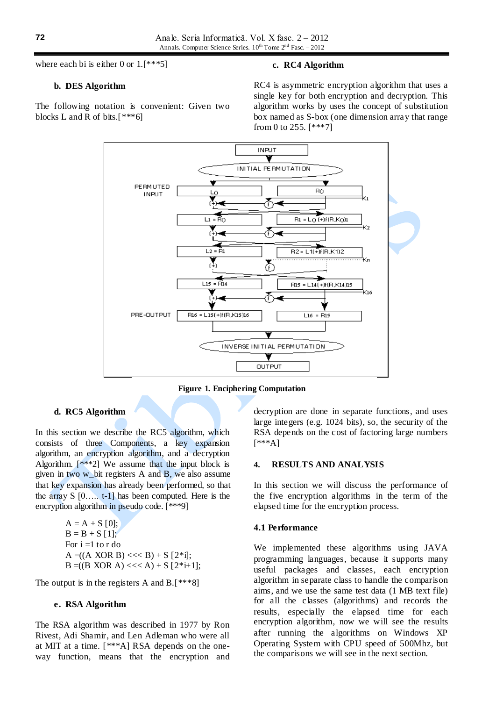where each bi is either 0 or 1.<sup>[\*\*\*5]</sup>

#### **b. DES Algorithm**

The following notation is convenient: Given two blocks L and R of bits. $[***6]$ 

#### **c. RC4 Algorithm**

RC4 is asymmetric encryption algorithm that uses a single key for both encryption and decryption. This algorithm works by uses the concept of substitution box named as S-box (one dimension array that range from 0 to 255. [\*\*\*7]



**Figure 1. Enciphering Computation**

#### **d. RC5 Algorithm**

In this section we describe the RC5 algorithm, which consists of three Components, a key expansion algorithm, an encryption algorithm, and a decryption Algorithm. [\*\*\*2] We assume that the input block is given in two w\_bit registers A and B, we also assume that key expansion has already been performed, so that the array  $S$   $[0, \ldots, t-1]$  has been computed. Here is the encryption algorithm in pseudo code. [\*\*\*9]

$$
A = A + S [0];
$$
  
\n
$$
B = B + S [1];
$$
  
\nFor i =1 to r do  
\n
$$
A = ((A XOR B) << B) + S [2 * i];
$$
  
\n
$$
B = ((B XOR A) << A) + S [2 * i + 1];
$$

The output is in the registers A and B.[\*\*\*8]

#### **e. RSA Algorithm**

The RSA algorithm was described in 1977 by Ron Rivest, Adi Shamir, and Len Adleman who were all at MIT at a time. [\*\*\*A] RSA depends on the oneway function, means that the encryption and decryption are done in separate functions, and uses large integers (e.g. 1024 bits), so, the security of the RSA depends on the cost of factoring large numbers [\*\*\*A]

#### **4. RESULTS AND ANALYSIS**

In this section we will discuss the performance of the five encryption algorithms in the term of the elapsed time for the encryption process.

#### **4.1 Performance**

We implemented these algorithms using JAVA programming languages, because it supports many useful packages and classes, each encryption algorithm in separate class to handle the comparison aims, and we use the same test data (1 MB text file) for all the classes (algorithms) and records the results, especially the elapsed time for each encryption algorithm, now we will see the results after running the algorithms on Windows XP Operating System with CPU speed of 500Mhz, but the comparisons we will see in the next section.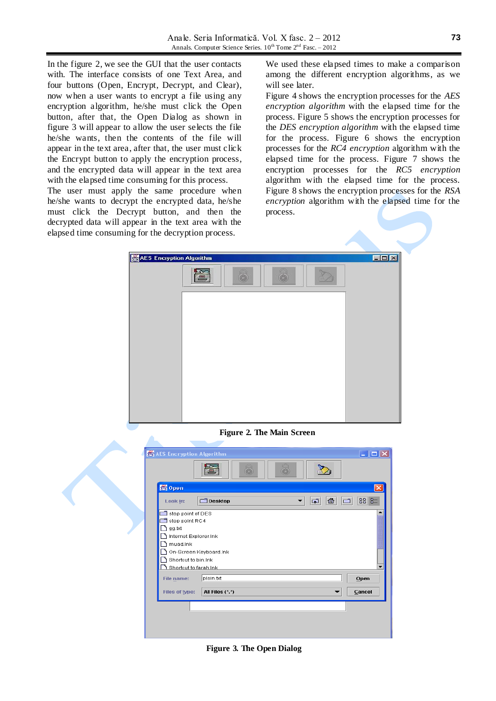In the figure 2, we see the GUI that the user contacts with. The interface consists of one Text Area, and four buttons (Open, Encrypt, Decrypt, and Clear), now when a user wants to encrypt a file using any encryption algorithm, he/she must click the Open button, after that, the Open Dialog as shown in figure 3 will appear to allow the user selects the file he/she wants, then the contents of the file will appear in the text area, after that, the user must click the Encrypt button to apply the encryption process, and the encrypted data will appear in the text area with the elapsed time consuming for this process.

The user must apply the same procedure when he/she wants to decrypt the encrypted data, he/she must click the Decrypt button, and then the decrypted data will appear in the text area with the elapsed time consuming for the decryption process.

We used these elapsed times to make a comparison among the different encryption algorithms, as we will see later.

Figure 4 shows the encryption processes for the *AES encryption algorithm* with the elapsed time for the process. Figure 5 shows the encryption processes for the *DES encryption algorithm* with the elapsed time for the process. Figure 6 shows the encryption processes for the *RC4 encryption* algorithm with the elapsed time for the process. Figure 7 shows the encryption processes for the *RC5 encryption* algorithm with the elapsed time for the process. Figure 8 shows the encryption processes for the *RSA encryption* algorithm with the elapsed time for the process.



**Figure 2. The Main Screen**



**Figure 3. The Open Dialog**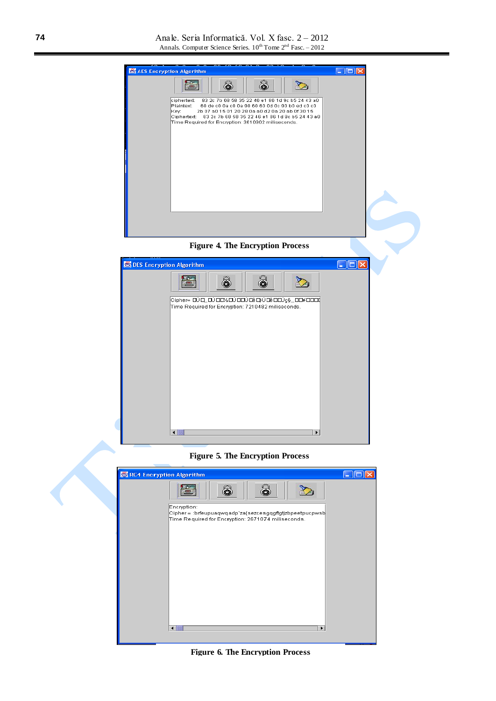





**Figure 5. The Encryption Process**



**Figure 6. The Encryption Process**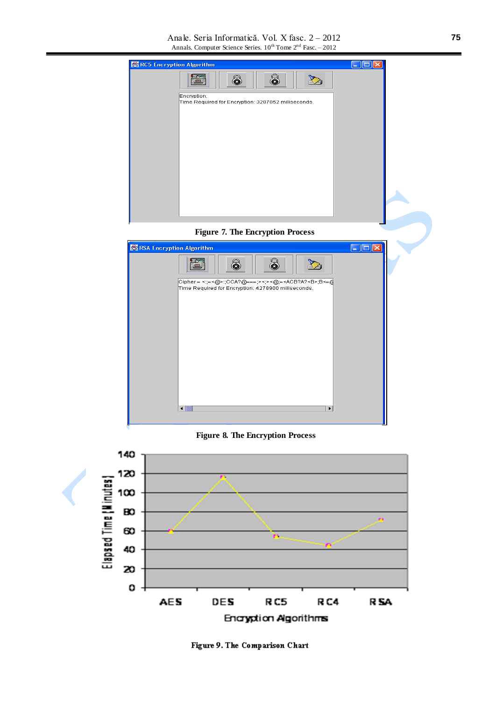![](_page_4_Picture_1.jpeg)

**Figure 7. The Encryption Process**

![](_page_4_Picture_3.jpeg)

**Figure 8. The Encryption Process**

![](_page_4_Figure_5.jpeg)

Figure 9. The Comparison Chart